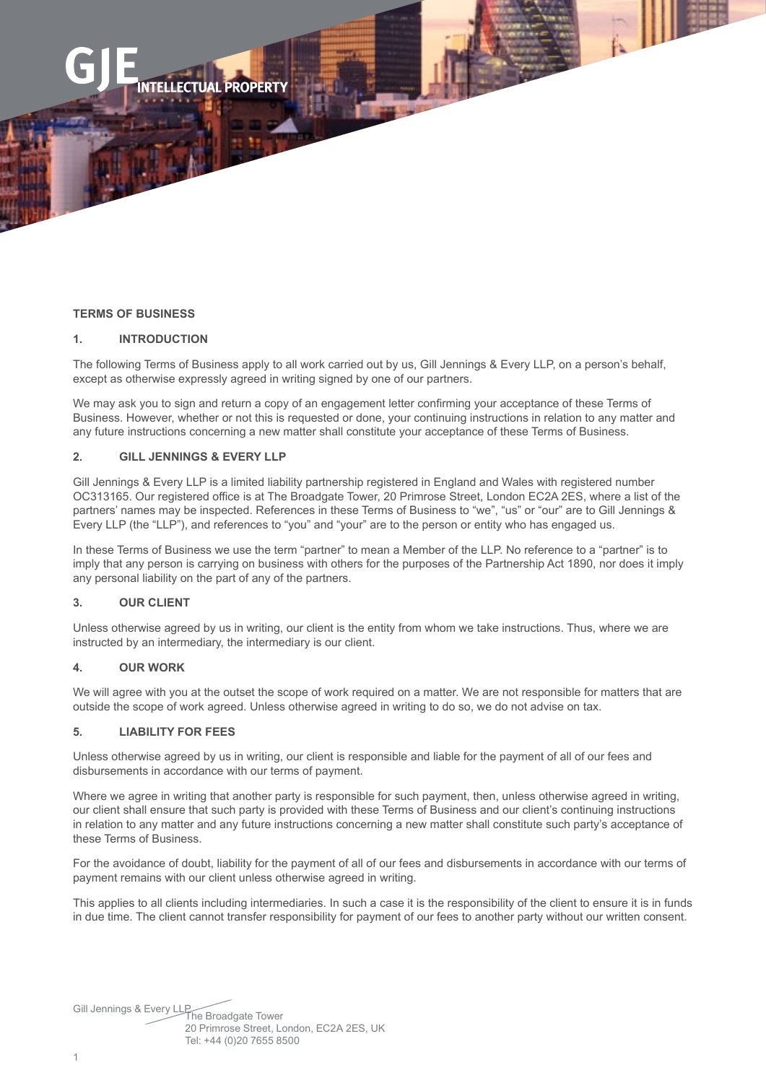## **TERMS OF BUSINESS**

## **1. INTRODUCTION**

The following Terms of Business apply to all work carried out by us, Gill Jennings & Every LLP, on a person's behalf, except as otherwise expressly agreed in writing signed by one of our partners.

We may ask you to sign and return a copy of an engagement letter confirming your acceptance of these Terms of Business. However, whether or not this is requested or done, your continuing instructions in relation to any matter and any future instructions concerning a new matter shall constitute your acceptance of these Terms of Business.

# **2. GILL JENNINGS & EVERY LLP**

**PROPERT** 

Gill Jennings & Every LLP is a limited liability partnership registered in England and Wales with registered number OC313165. Our registered office is at The Broadgate Tower, 20 Primrose Street, London EC2A 2ES, where a list of the partners' names may be inspected. References in these Terms of Business to "we", "us" or "our" are to Gill Jennings & Every LLP (the "LLP"), and references to "you" and "your" are to the person or entity who has engaged us.

In these Terms of Business we use the term "partner" to mean a Member of the LLP. No reference to a "partner" is to imply that any person is carrying on business with others for the purposes of the Partnership Act 1890, nor does it imply any personal liability on the part of any of the partners.

## **3. OUR CLIENT**

Unless otherwise agreed by us in writing, our client is the entity from whom we take instructions. Thus, where we are instructed by an intermediary, the intermediary is our client.

#### **4. OUR WORK**

We will agree with you at the outset the scope of work required on a matter. We are not responsible for matters that are outside the scope of work agreed. Unless otherwise agreed in writing to do so, we do not advise on tax.

## **5. LIABILITY FOR FEES**

Unless otherwise agreed by us in writing, our client is responsible and liable for the payment of all of our fees and disbursements in accordance with our terms of payment.

Where we agree in writing that another party is responsible for such payment, then, unless otherwise agreed in writing, our client shall ensure that such party is provided with these Terms of Business and our client's continuing instructions in relation to any matter and any future instructions concerning a new matter shall constitute such party's acceptance of these Terms of Business.

For the avoidance of doubt, liability for the payment of all of our fees and disbursements in accordance with our terms of payment remains with our client unless otherwise agreed in writing.

This applies to all clients including intermediaries. In such a case it is the responsibility of the client to ensure it is in funds in due time. The client cannot transfer responsibility for payment of our fees to another party without our written consent.

Gill Jennings & Every LLPThe Broadgate Tower 20 Primrose Street, London, EC2A 2ES, UK Tel: +44 (0)20 7655 8500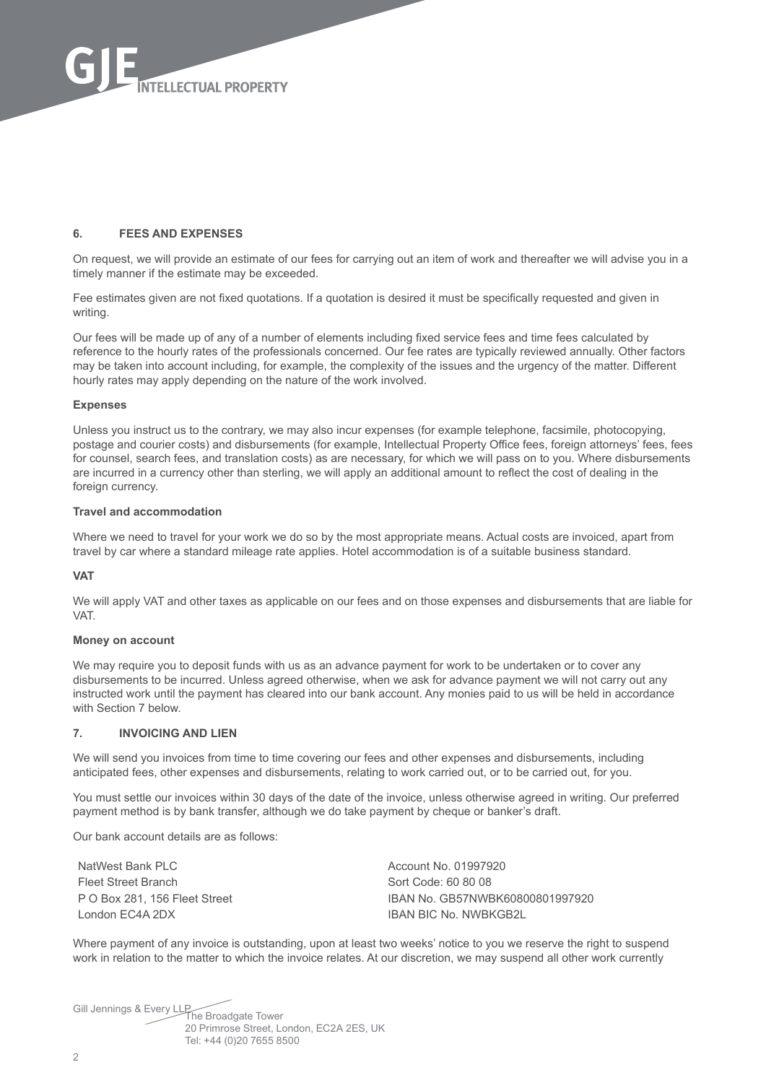

## **6. FEES AND EXPENSES**

On request, we will provide an estimate of our fees for carrying out an item of work and thereafter we will advise you in a timely manner if the estimate may be exceeded.

Fee estimates given are not fixed quotations. If a quotation is desired it must be specifically requested and given in writing.

Our fees will be made up of any of a number of elements including fixed service fees and time fees calculated by reference to the hourly rates of the professionals concerned. Our fee rates are typically reviewed annually. Other factors may be taken into account including, for example, the complexity of the issues and the urgency of the matter. Different hourly rates may apply depending on the nature of the work involved.

#### **Expenses**

Unless you instruct us to the contrary, we may also incur expenses (for example telephone, facsimile, photocopying, postage and courier costs) and disbursements (for example, Intellectual Property Office fees, foreign attorneys' fees, fees for counsel, search fees, and translation costs) as are necessary, for which we will pass on to you. Where disbursements are incurred in a currency other than sterling, we will apply an additional amount to reflect the cost of dealing in the foreign currency.

#### **Travel and accommodation**

Where we need to travel for your work we do so by the most appropriate means. Actual costs are invoiced, apart from travel by car where a standard mileage rate applies. Hotel accommodation is of a suitable business standard.

#### **VAT**

We will apply VAT and other taxes as applicable on our fees and on those expenses and disbursements that are liable for VAT.

#### **Money on account**

We may require you to deposit funds with us as an advance payment for work to be undertaken or to cover any disbursements to be incurred. Unless agreed otherwise, when we ask for advance payment we will not carry out any instructed work until the payment has cleared into our bank account. Any monies paid to us will be held in accordance with Section 7 below.

## **7. INVOICING AND LIEN**

We will send you invoices from time to time covering our fees and other expenses and disbursements, including anticipated fees, other expenses and disbursements, relating to work carried out, or to be carried out, for you.

You must settle our invoices within 30 days of the date of the invoice, unless otherwise agreed in writing. Our preferred payment method is by bank transfer, although we do take payment by cheque or banker's draft.

Our bank account details are as follows:

NatWest Bank PLC Fleet Street Branch P O Box 281, 156 Fleet Street London EC4A 2DX

Account No. 01997920 Sort Code: 60 80 08 IBAN No. GB57NWBK60800801997920 IBAN BIC No. NWBKGB2L

Where payment of any invoice is outstanding, upon at least two weeks' notice to you we reserve the right to suspend work in relation to the matter to which the invoice relates. At our discretion, we may suspend all other work currently

Gill Jennings & Every LLP<br>The Broadgate Tower 20 Primrose Street, London, EC2A 2ES, UK Tel: +44 (0)20 7655 8500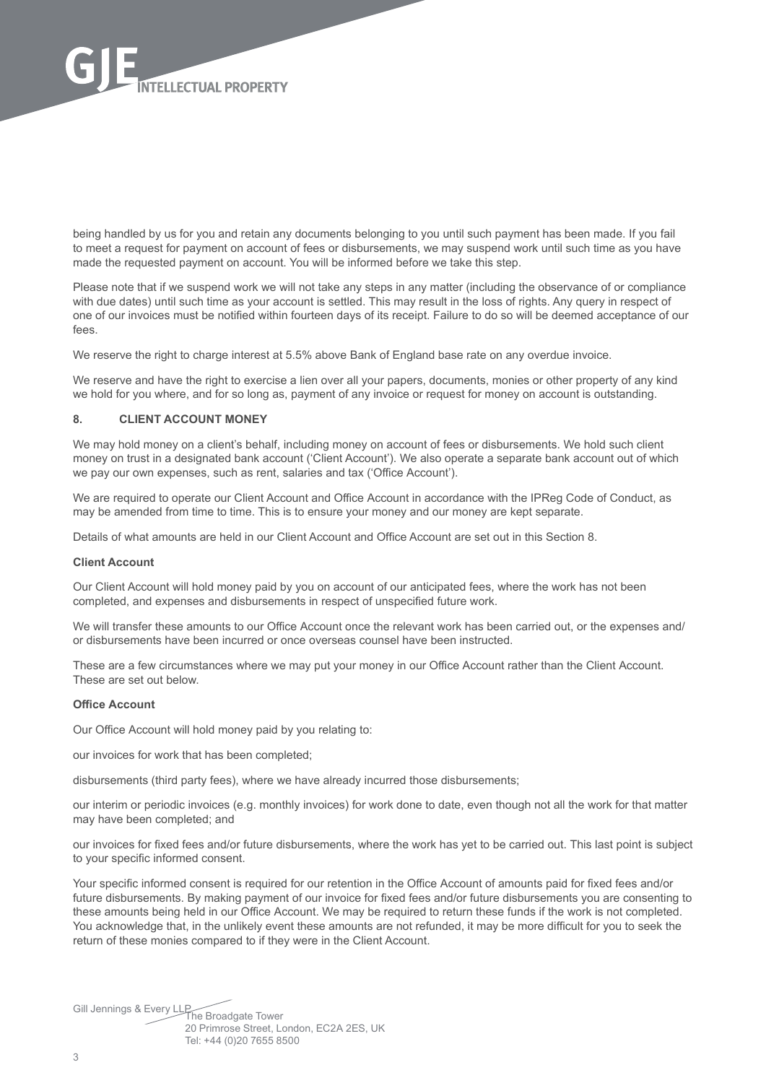

being handled by us for you and retain any documents belonging to you until such payment has been made. If you fail to meet a request for payment on account of fees or disbursements, we may suspend work until such time as you have made the requested payment on account. You will be informed before we take this step.

Please note that if we suspend work we will not take any steps in any matter (including the observance of or compliance with due dates) until such time as your account is settled. This may result in the loss of rights. Any query in respect of one of our invoices must be notified within fourteen days of its receipt. Failure to do so will be deemed acceptance of our fees.

We reserve the right to charge interest at 5.5% above Bank of England base rate on any overdue invoice.

We reserve and have the right to exercise a lien over all your papers, documents, monies or other property of any kind we hold for you where, and for so long as, payment of any invoice or request for money on account is outstanding.

## **8. CLIENT ACCOUNT MONEY**

We may hold money on a client's behalf, including money on account of fees or disbursements. We hold such client money on trust in a designated bank account ('Client Account'). We also operate a separate bank account out of which we pay our own expenses, such as rent, salaries and tax ('Office Account').

We are required to operate our Client Account and Office Account in accordance with the IPReg Code of Conduct, as may be amended from time to time. This is to ensure your money and our money are kept separate.

Details of what amounts are held in our Client Account and Office Account are set out in this Section 8.

#### **Client Account**

Our Client Account will hold money paid by you on account of our anticipated fees, where the work has not been completed, and expenses and disbursements in respect of unspecified future work.

We will transfer these amounts to our Office Account once the relevant work has been carried out, or the expenses and/ or disbursements have been incurred or once overseas counsel have been instructed.

These are a few circumstances where we may put your money in our Office Account rather than the Client Account. These are set out below.

#### **Office Account**

Our Office Account will hold money paid by you relating to:

our invoices for work that has been completed;

disbursements (third party fees), where we have already incurred those disbursements;

our interim or periodic invoices (e.g. monthly invoices) for work done to date, even though not all the work for that matter may have been completed; and

our invoices for fixed fees and/or future disbursements, where the work has yet to be carried out. This last point is subject to your specific informed consent.

Your specific informed consent is required for our retention in the Office Account of amounts paid for fixed fees and/or future disbursements. By making payment of our invoice for fixed fees and/or future disbursements you are consenting to these amounts being held in our Office Account. We may be required to return these funds if the work is not completed. You acknowledge that, in the unlikely event these amounts are not refunded, it may be more difficult for you to seek the return of these monies compared to if they were in the Client Account.

Gill Jennings & Every LLP<br>The Broadgate Tower 20 Primrose Street, London, EC2A 2ES, UK Tel: +44 (0)20 7655 8500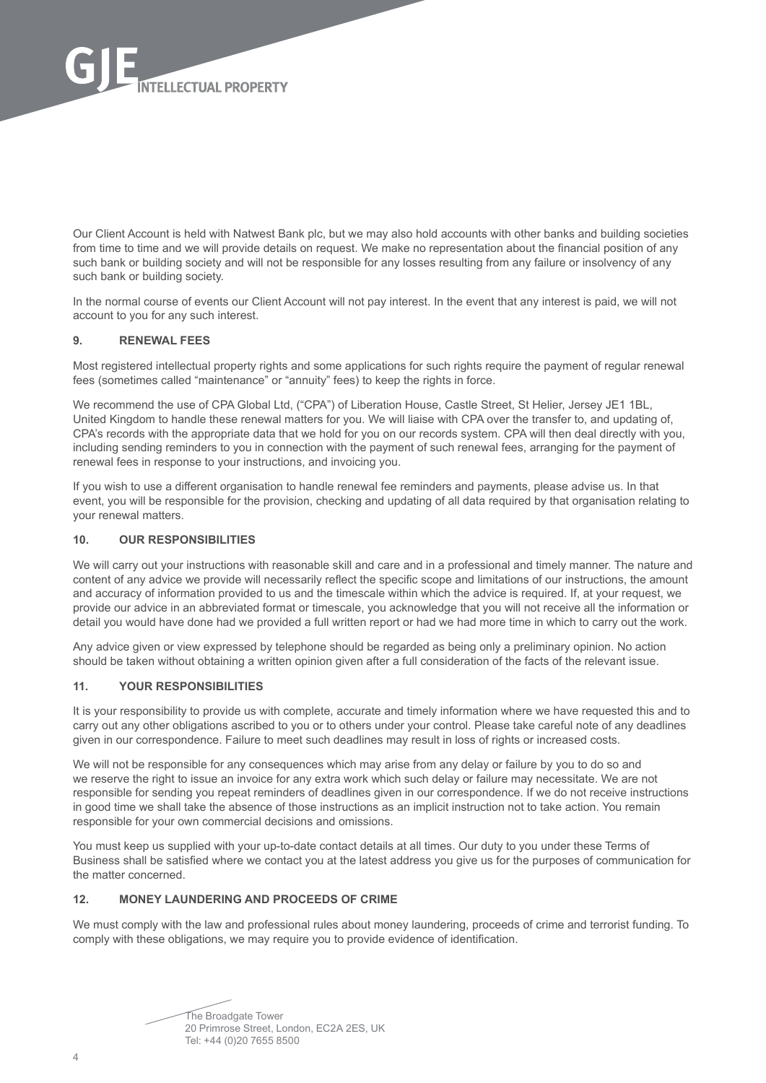

Our Client Account is held with Natwest Bank plc, but we may also hold accounts with other banks and building societies from time to time and we will provide details on request. We make no representation about the financial position of any such bank or building society and will not be responsible for any losses resulting from any failure or insolvency of any such bank or building society.

In the normal course of events our Client Account will not pay interest. In the event that any interest is paid, we will not account to you for any such interest.

## **9. RENEWAL FEES**

Most registered intellectual property rights and some applications for such rights require the payment of regular renewal fees (sometimes called "maintenance" or "annuity" fees) to keep the rights in force.

We recommend the use of CPA Global Ltd, ("CPA") of Liberation House, Castle Street, St Helier, Jersey JE1 1BL, United Kingdom to handle these renewal matters for you. We will liaise with CPA over the transfer to, and updating of, CPA's records with the appropriate data that we hold for you on our records system. CPA will then deal directly with you, including sending reminders to you in connection with the payment of such renewal fees, arranging for the payment of renewal fees in response to your instructions, and invoicing you.

If you wish to use a different organisation to handle renewal fee reminders and payments, please advise us. In that event, you will be responsible for the provision, checking and updating of all data required by that organisation relating to your renewal matters.

#### **10. OUR RESPONSIBILITIES**

We will carry out your instructions with reasonable skill and care and in a professional and timely manner. The nature and content of any advice we provide will necessarily reflect the specific scope and limitations of our instructions, the amount and accuracy of information provided to us and the timescale within which the advice is required. If, at your request, we provide our advice in an abbreviated format or timescale, you acknowledge that you will not receive all the information or detail you would have done had we provided a full written report or had we had more time in which to carry out the work.

Any advice given or view expressed by telephone should be regarded as being only a preliminary opinion. No action should be taken without obtaining a written opinion given after a full consideration of the facts of the relevant issue.

## **11. YOUR RESPONSIBILITIES**

It is your responsibility to provide us with complete, accurate and timely information where we have requested this and to carry out any other obligations ascribed to you or to others under your control. Please take careful note of any deadlines given in our correspondence. Failure to meet such deadlines may result in loss of rights or increased costs.

We will not be responsible for any consequences which may arise from any delay or failure by you to do so and we reserve the right to issue an invoice for any extra work which such delay or failure may necessitate. We are not responsible for sending you repeat reminders of deadlines given in our correspondence. If we do not receive instructions in good time we shall take the absence of those instructions as an implicit instruction not to take action. You remain responsible for your own commercial decisions and omissions.

You must keep us supplied with your up-to-date contact details at all times. Our duty to you under these Terms of Business shall be satisfied where we contact you at the latest address you give us for the purposes of communication for the matter concerned.

## **12. MONEY LAUNDERING AND PROCEEDS OF CRIME**

We must comply with the law and professional rules about money laundering, proceeds of crime and terrorist funding. To comply with these obligations, we may require you to provide evidence of identification.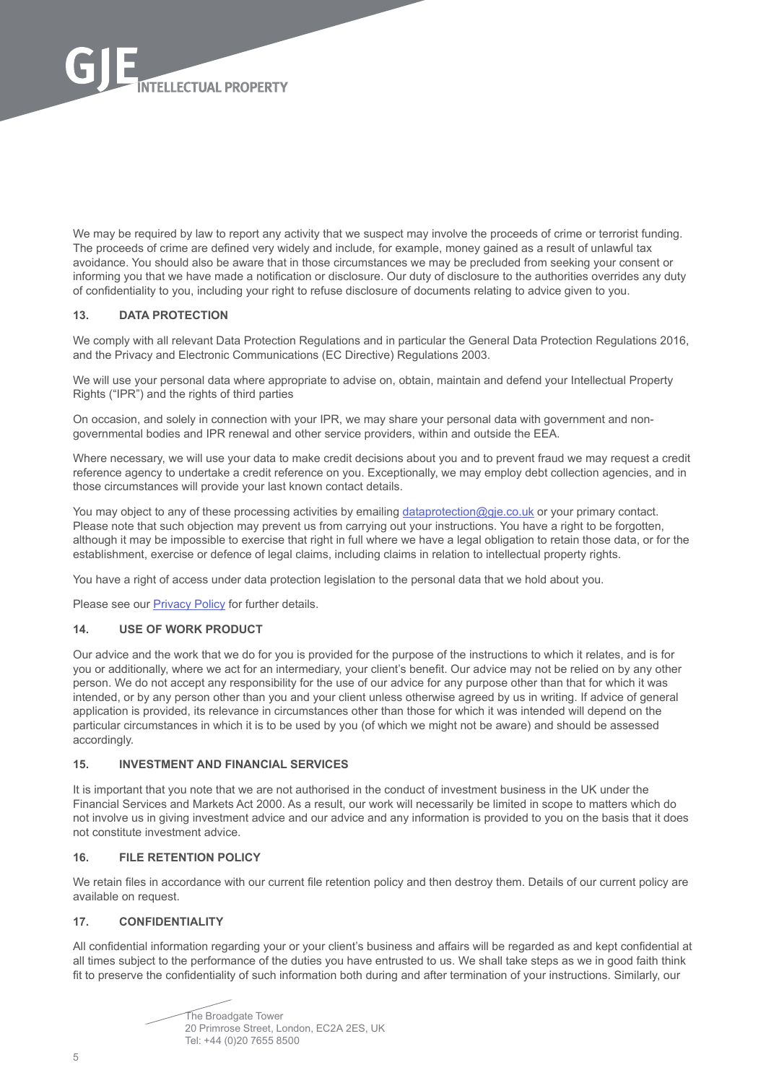

We may be required by law to report any activity that we suspect may involve the proceeds of crime or terrorist funding. The proceeds of crime are defined very widely and include, for example, money gained as a result of unlawful tax avoidance. You should also be aware that in those circumstances we may be precluded from seeking your consent or informing you that we have made a notification or disclosure. Our duty of disclosure to the authorities overrides any duty of confidentiality to you, including your right to refuse disclosure of documents relating to advice given to you.

## **13. DATA PROTECTION**

We comply with all relevant Data Protection Regulations and in particular the General Data Protection Regulations 2016, and the Privacy and Electronic Communications (EC Directive) Regulations 2003.

We will use your personal data where appropriate to advise on, obtain, maintain and defend your Intellectual Property Rights ("IPR") and the rights of third parties

On occasion, and solely in connection with your IPR, we may share your personal data with government and nongovernmental bodies and IPR renewal and other service providers, within and outside the EEA.

Where necessary, we will use your data to make credit decisions about you and to prevent fraud we may request a credit reference agency to undertake a credit reference on you. Exceptionally, we may employ debt collection agencies, and in those circumstances will provide your last known contact details.

You may object to any of these processing activities by emailing [dataprotection@gje.co.uk](mailto:dataprotection%40gje.co.uk?subject=) or your primary contact. Please note that such objection may prevent us from carrying out your instructions. You have a right to be forgotten, although it may be impossible to exercise that right in full where we have a legal obligation to retain those data, or for the establishment, exercise or defence of legal claims, including claims in relation to intellectual property rights.

You have a right of access under data protection legislation to the personal data that we hold about you.

Please see our [Privacy Policy](https://www.gje.com/privacy-policy/) for further details.

#### **14. USE OF WORK PRODUCT**

Our advice and the work that we do for you is provided for the purpose of the instructions to which it relates, and is for you or additionally, where we act for an intermediary, your client's benefit. Our advice may not be relied on by any other person. We do not accept any responsibility for the use of our advice for any purpose other than that for which it was intended, or by any person other than you and your client unless otherwise agreed by us in writing. If advice of general application is provided, its relevance in circumstances other than those for which it was intended will depend on the particular circumstances in which it is to be used by you (of which we might not be aware) and should be assessed accordingly.

#### **15. INVESTMENT AND FINANCIAL SERVICES**

It is important that you note that we are not authorised in the conduct of investment business in the UK under the Financial Services and Markets Act 2000. As a result, our work will necessarily be limited in scope to matters which do not involve us in giving investment advice and our advice and any information is provided to you on the basis that it does not constitute investment advice.

## **16. FILE RETENTION POLICY**

We retain files in accordance with our current file retention policy and then destroy them. Details of our current policy are available on request.

# **17. CONFIDENTIALITY**

All confidential information regarding your or your client's business and affairs will be regarded as and kept confidential at all times subject to the performance of the duties you have entrusted to us. We shall take steps as we in good faith think fit to preserve the confidentiality of such information both during and after termination of your instructions. Similarly, our

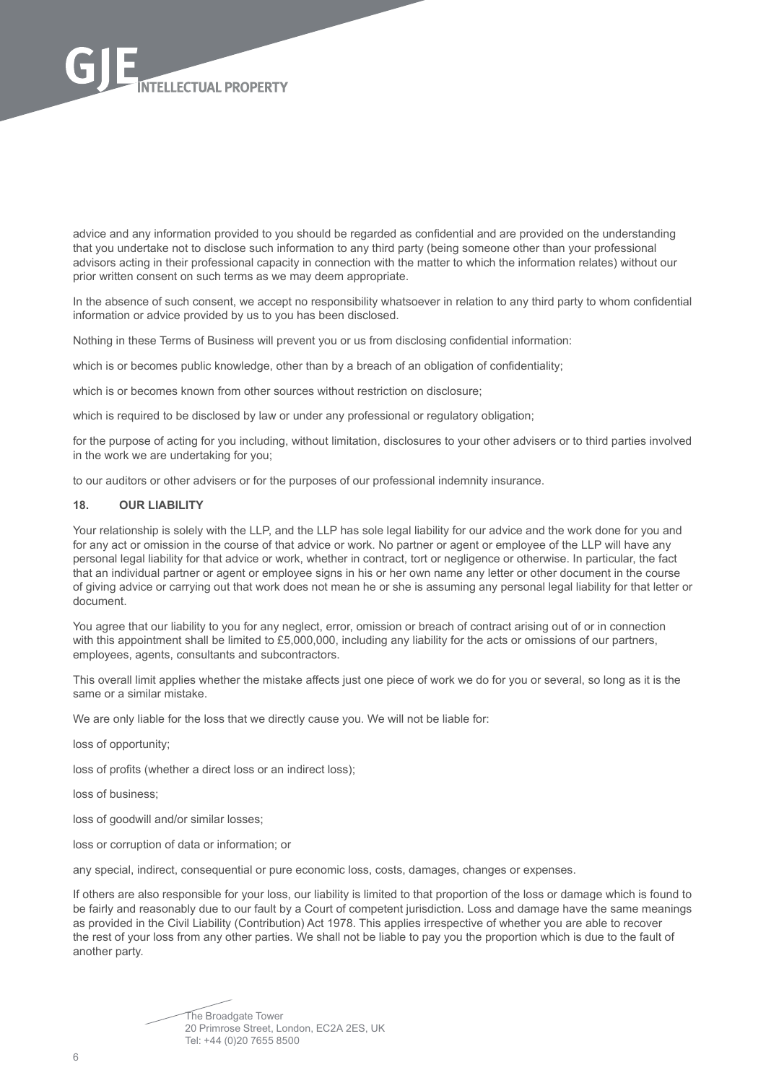

advice and any information provided to you should be regarded as confidential and are provided on the understanding that you undertake not to disclose such information to any third party (being someone other than your professional advisors acting in their professional capacity in connection with the matter to which the information relates) without our prior written consent on such terms as we may deem appropriate.

In the absence of such consent, we accept no responsibility whatsoever in relation to any third party to whom confidential information or advice provided by us to you has been disclosed.

Nothing in these Terms of Business will prevent you or us from disclosing confidential information:

which is or becomes public knowledge, other than by a breach of an obligation of confidentiality;

which is or becomes known from other sources without restriction on disclosure;

which is required to be disclosed by law or under any professional or regulatory obligation;

for the purpose of acting for you including, without limitation, disclosures to your other advisers or to third parties involved in the work we are undertaking for you;

to our auditors or other advisers or for the purposes of our professional indemnity insurance.

#### **18. OUR LIABILITY**

Your relationship is solely with the LLP, and the LLP has sole legal liability for our advice and the work done for you and for any act or omission in the course of that advice or work. No partner or agent or employee of the LLP will have any personal legal liability for that advice or work, whether in contract, tort or negligence or otherwise. In particular, the fact that an individual partner or agent or employee signs in his or her own name any letter or other document in the course of giving advice or carrying out that work does not mean he or she is assuming any personal legal liability for that letter or document.

You agree that our liability to you for any neglect, error, omission or breach of contract arising out of or in connection with this appointment shall be limited to £5,000,000, including any liability for the acts or omissions of our partners, employees, agents, consultants and subcontractors.

This overall limit applies whether the mistake affects just one piece of work we do for you or several, so long as it is the same or a similar mistake.

We are only liable for the loss that we directly cause you. We will not be liable for:

loss of opportunity;

loss of profits (whether a direct loss or an indirect loss);

loss of business;

loss of goodwill and/or similar losses;

loss or corruption of data or information; or

any special, indirect, consequential or pure economic loss, costs, damages, changes or expenses.

If others are also responsible for your loss, our liability is limited to that proportion of the loss or damage which is found to be fairly and reasonably due to our fault by a Court of competent jurisdiction. Loss and damage have the same meanings as provided in the Civil Liability (Contribution) Act 1978. This applies irrespective of whether you are able to recover the rest of your loss from any other parties. We shall not be liable to pay you the proportion which is due to the fault of another party.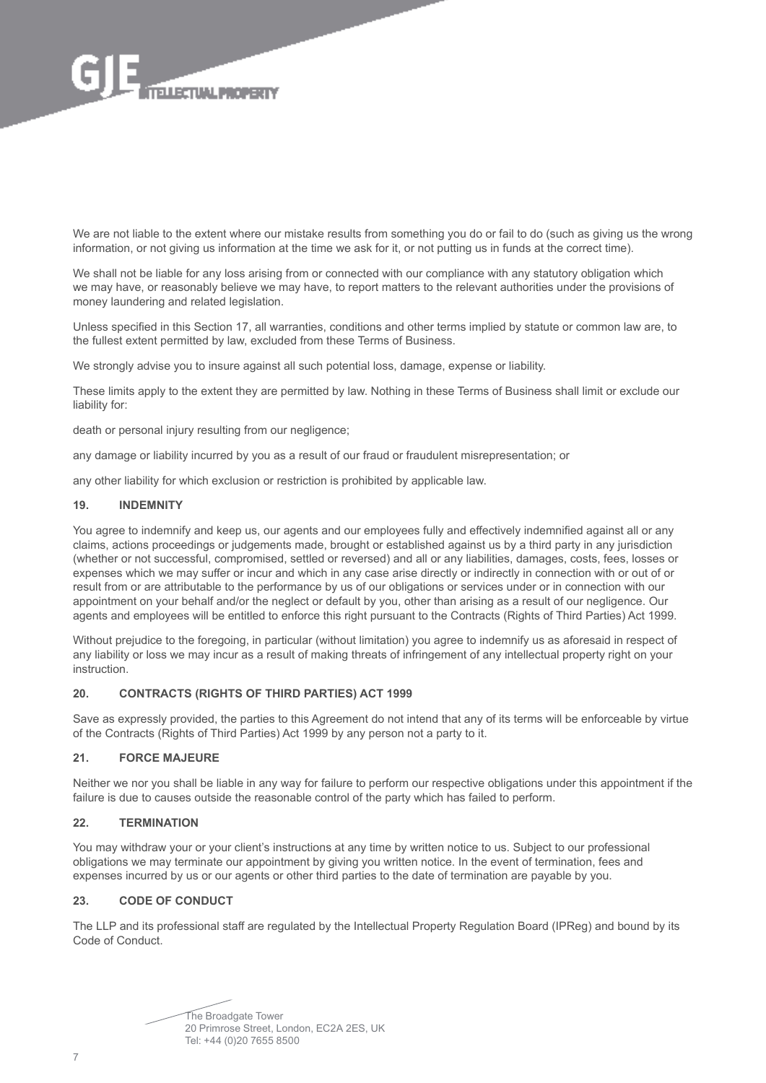

We are not liable to the extent where our mistake results from something you do or fail to do (such as giving us the wrong information, or not giving us information at the time we ask for it, or not putting us in funds at the correct time).

We shall not be liable for any loss arising from or connected with our compliance with any statutory obligation which we may have, or reasonably believe we may have, to report matters to the relevant authorities under the provisions of money laundering and related legislation.

Unless specified in this Section 17, all warranties, conditions and other terms implied by statute or common law are, to the fullest extent permitted by law, excluded from these Terms of Business.

We strongly advise you to insure against all such potential loss, damage, expense or liability.

These limits apply to the extent they are permitted by law. Nothing in these Terms of Business shall limit or exclude our liability for:

death or personal injury resulting from our negligence;

any damage or liability incurred by you as a result of our fraud or fraudulent misrepresentation; or

any other liability for which exclusion or restriction is prohibited by applicable law.

#### **19. INDEMNITY**

You agree to indemnify and keep us, our agents and our employees fully and effectively indemnified against all or any claims, actions proceedings or judgements made, brought or established against us by a third party in any jurisdiction (whether or not successful, compromised, settled or reversed) and all or any liabilities, damages, costs, fees, losses or expenses which we may suffer or incur and which in any case arise directly or indirectly in connection with or out of or result from or are attributable to the performance by us of our obligations or services under or in connection with our appointment on your behalf and/or the neglect or default by you, other than arising as a result of our negligence. Our agents and employees will be entitled to enforce this right pursuant to the Contracts (Rights of Third Parties) Act 1999.

Without prejudice to the foregoing, in particular (without limitation) you agree to indemnify us as aforesaid in respect of any liability or loss we may incur as a result of making threats of infringement of any intellectual property right on your instruction.

## **20. CONTRACTS (RIGHTS OF THIRD PARTIES) ACT 1999**

Save as expressly provided, the parties to this Agreement do not intend that any of its terms will be enforceable by virtue of the Contracts (Rights of Third Parties) Act 1999 by any person not a party to it.

## **21. FORCE MAJEURE**

Neither we nor you shall be liable in any way for failure to perform our respective obligations under this appointment if the failure is due to causes outside the reasonable control of the party which has failed to perform.

#### **22. TERMINATION**

You may withdraw your or your client's instructions at any time by written notice to us. Subject to our professional obligations we may terminate our appointment by giving you written notice. In the event of termination, fees and expenses incurred by us or our agents or other third parties to the date of termination are payable by you.

#### **23. CODE OF CONDUCT**

The LLP and its professional staff are regulated by the Intellectual Property Regulation Board (IPReg) and bound by its Code of Conduct.